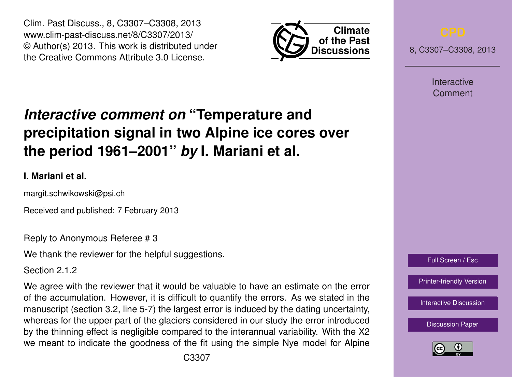Clim. Past Discuss., 8, C3307–C3308, 2013 www.clim-past-discuss.net/8/C3307/2013/ © Author(s) 2013. This work is distributed under the Creative Commons Attribute 3.0 License.



8, C3307–C3308, 2013

Interactive Comment

## **precipitation signal in two Alpine ice cores over the period 1961–2001"** *by* **I. Mariani et al.**

*Interactive comment on* **"Temperature and**

## **I. Mariani et al.**

margit.schwikowski@psi.ch

Received and published: 7 February 2013

Reply to Anonymous Referee # 3

We thank the reviewer for the helpful suggestions.

Section 2.1.2

We agree with the reviewer that it would be valuable to have an estimate on the error of the accumulation. However, it is difficult to quantify the errors. As we stated in the manuscript (section 3.2, line 5-7) the largest error is induced by the dating uncertainty, whereas for the upper part of the glaciers considered in our study the error introduced by the thinning effect is negligible compared to the interannual variability. With the X2 we meant to indicate the goodness of the fit using the simple Nye model for Alpine



[Printer-friendly Version](http://www.clim-past-discuss.net/8/C3307/2013/cpd-8-C3307-2013-print.pdf)

[Interactive Discussion](http://www.clim-past-discuss.net/8/5867/2012/cpd-8-5867-2012-discussion.html)

[Discussion Paper](http://www.clim-past-discuss.net/8/5867/2012/cpd-8-5867-2012.pdf)